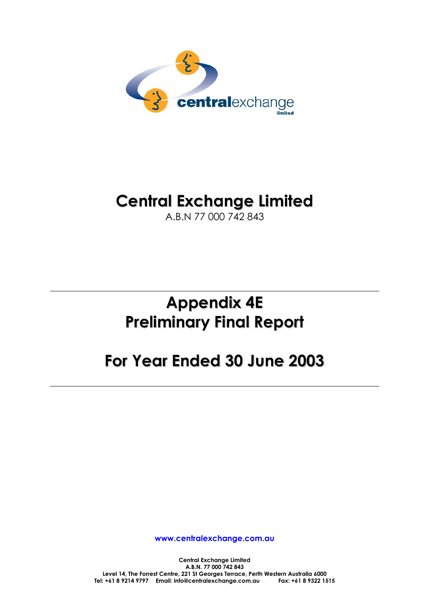

# **Central Exchange Limited**

A.B.N 77 000 742 843

# **Appendix 4E Preliminary Final Report**

# **For Year Ended 30 June 2003**

**www.centralexchange.com.au**

**Central Exchange Limited A.B.N. 77 000 742 843 Level 14, The Forrest Centre, 221 St Georges Terrace, Perth Western Australia 6000 Tel: +61 8 9214 9797 Email: info@centralexchange.com.au Fax: +61 8 9322 1515**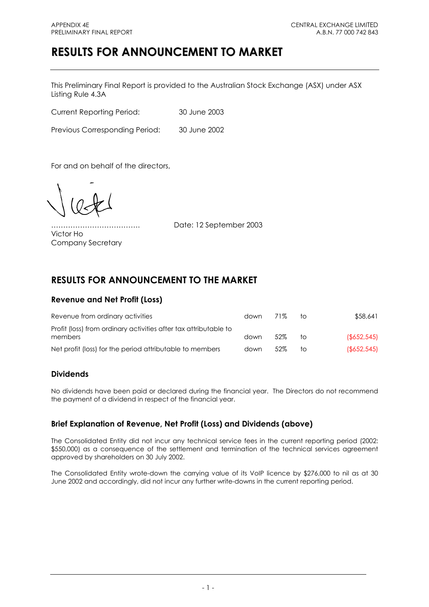## **RESULTS FOR ANNOUNCEMENT TO MARKET**

This Preliminary Final Report is provided to the Australian Stock Exchange (ASX) under ASX Listing Rule 4.3A

Current Reporting Period: 30 June 2003

Previous Corresponding Period: 30 June 2002

For and on behalf of the directors,

Victor Ho

………………………………. Date: 12 September 2003

## Company Secretary

## **RESULTS FOR ANNOUNCEMENT TO THE MARKET**

## **Revenue and Net Profit (Loss)**

| Revenue from ordinary activities                                            | down | 71%  | TO. | \$58,641    |
|-----------------------------------------------------------------------------|------|------|-----|-------------|
| Profit (loss) from ordinary activities after tax attributable to<br>members | down | .52% | ŤΟ  | (S652, 545) |
| Net profit (loss) for the period attributable to members                    | down | .52% | tΩ  | (S652.545)  |

## **Dividends**

No dividends have been paid or declared during the financial year. The Directors do not recommend the payment of a dividend in respect of the financial year.

## **Brief Explanation of Revenue, Net Profit (Loss) and Dividends (above)**

The Consolidated Entity did not incur any technical service fees in the current reporting period (2002: \$550,000) as a consequence of the settlement and termination of the technical services agreement approved by shareholders on 30 July 2002.

The Consolidated Entity wrote-down the carrying value of its VoIP licence by \$276,000 to nil as at 30 June 2002 and accordingly, did not incur any further write-downs in the current reporting period.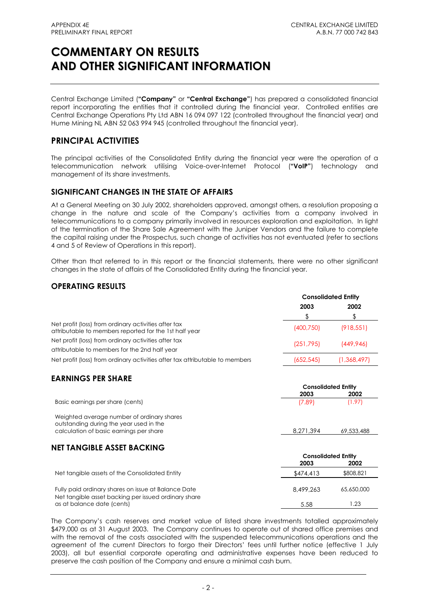Central Exchange Limited (**"Company"** or **"Central Exchange"**) has prepared a consolidated financial report incorporating the entities that it controlled during the financial year. Controlled entities are Central Exchange Operations Pty Ltd ABN 16 094 097 122 (controlled throughout the financial year) and Hume Mining NL ABN 52 063 994 945 (controlled throughout the financial year).

## **PRINCIPAL ACTIVITIES**

The principal activities of the Consolidated Entity during the financial year were the operation of a telecommunication network utilising Voice-over-Internet Protocol (**"VoIP"**) technology and management of its share investments.

## **SIGNIFICANT CHANGES IN THE STATE OF AFFAIRS**

At a General Meeting on 30 July 2002, shareholders approved, amongst others, a resolution proposing a change in the nature and scale of the Company's activities from a company involved in telecommunications to a company primarily involved in resources exploration and exploitation. In light of the termination of the Share Sale Agreement with the Juniper Vendors and the failure to complete the capital raising under the Prospectus, such change of activities has not eventuated (refer to sections 4 and 5 of Review of Operations in this report).

Other than that referred to in this report or the financial statements, there were no other significant changes in the state of affairs of the Consolidated Entity during the financial year.

## **OPERATING RESULTS**

|                                                                                                                | <b>Consolidated Entity</b> |             |  |
|----------------------------------------------------------------------------------------------------------------|----------------------------|-------------|--|
|                                                                                                                | 2003                       | 2002        |  |
|                                                                                                                |                            |             |  |
| Net profit (loss) from ordinary activities after tax<br>attributable to members reported for the 1st half year | (400,750)                  | (918, 551)  |  |
| Net profit (loss) from ordinary activities after tax                                                           | (251, 795)                 | (449.946)   |  |
| attributable to members for the 2nd half year                                                                  |                            |             |  |
| Net profit (loss) from ordinary activities after tax attributable to members                                   | (652, 545)                 | (1,368,497) |  |

## **EARNINGS PER SHARE**

|                                                                                       | <b>Consolidated Entity</b> |                            |  |
|---------------------------------------------------------------------------------------|----------------------------|----------------------------|--|
|                                                                                       | 2003                       | 2002                       |  |
| Basic earnings per share (cents)                                                      | (7.89)                     | (1.97)                     |  |
| Weighted average number of ordinary shares<br>outstanding during the year used in the |                            |                            |  |
| calculation of basic earnings per share                                               | 8.271.394                  | 69,533,488                 |  |
| <b>NET TANGIBLE ASSET BACKING</b>                                                     |                            |                            |  |
|                                                                                       |                            | <b>Consolidated Entity</b> |  |
|                                                                                       | 2003                       | 2002                       |  |
| Net tangible assets of the Consolidated Entity                                        | \$474,413                  | \$808,821                  |  |
|                                                                                       |                            |                            |  |

Fully paid ordinary shares on issue at Balance Date 8,499,263 65,650,000 Net tangible asset backing per issued ordinary share as at balance date (cents) 5.58 1.23

The Company's cash reserves and market value of listed share investments totalled approximately \$479,000 as at 31 August 2003. The Company continues to operate out of shared office premises and with the removal of the costs associated with the suspended telecommunications operations and the agreement of the current Directors to forgo their Directors' fees until further notice (effective 1 July 2003), all but essential corporate operating and administrative expenses have been reduced to preserve the cash position of the Company and ensure a minimal cash burn.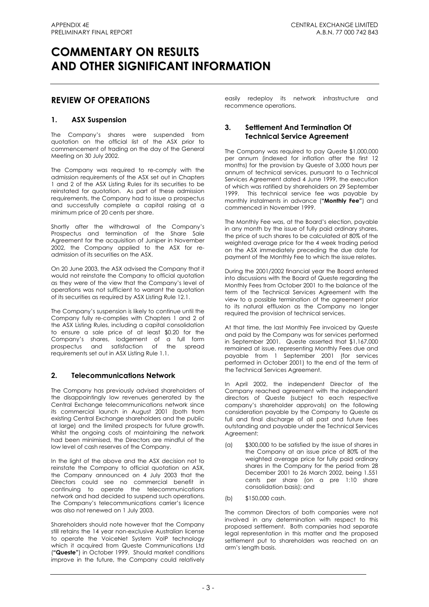## **REVIEW OF OPERATIONS**

## **1. ASX Suspension**

The Company's shares were suspended from quotation on the official list of the ASX prior to commencement of trading on the day of the General Meeting on 30 July 2002.

The Company was required to re-comply with the admission requirements of the ASX set out in Chapters 1 and 2 of the ASX Listing Rules for its securities to be reinstated for quotation. As part of these admission requirements, the Company had to issue a prospectus and successfully complete a capital raising at a minimum price of 20 cents per share.

Shortly after the withdrawal of the Company's Prospectus and termination of the Share Sale Agreement for the acquisition of Juniper in November 2002, the Company applied to the ASX for readmission of its securities on the ASX.

On 20 June 2003, the ASX advised the Company that it would not reinstate the Company to official quotation as they were of the view that the Company's level of operations was not sufficient to warrant the quotation of its securities as required by ASX Listing Rule 12.1.

The Company's suspension is likely to continue until the Company fully re-complies with Chapters 1 and 2 of the ASX Listing Rules, including a capital consolidation to ensure a sale price of at least \$0.20 for the Company's shares, lodgement of a full form prospectus and satisfaction of the spread requirements set out in ASX Listing Rule 1.1.

## **2. Telecommunications Network**

The Company has previously advised shareholders of the disappointingly low revenues generated by the Central Exchange telecommunications network since its commercial launch in August 2001 (both from existing Central Exchange shareholders and the public at large) and the limited prospects for future growth. Whilst the ongoing costs of maintaining the network had been minimised, the Directors are mindful of the low level of cash reserves of the Company.

In the light of the above and the ASX decision not to reinstate the Company to official quotation on ASX, the Company announced on 4 July 2003 that the Directors could see no commercial benefit in continuing to operate the telecommunications network and had decided to suspend such operations. The Company's telecommunications carrier's licence was also not renewed on 1 July 2003.

Shareholders should note however that the Company still retains the 14 year non-exclusive Australian license to operate the VoiceNet System VoIP technology which it acquired from Queste Communications Ltd (**"Queste"**) in October 1999. Should market conditions improve in the future, the Company could relatively easily redeploy its network infrastructure and recommence operations.

## **3. Settlement And Termination Of Technical Service Agreement**

The Company was required to pay Queste \$1,000,000 per annum (indexed for inflation after the first 12 months) for the provision by Queste of 3,000 hours per annum of technical services, pursuant to a Technical Services Agreement dated 4 June 1999, the execution of which was ratified by shareholders on 29 September 1999. This technical service fee was payable by monthly instalments in advance (**"Monthly Fee"**) and commenced in November 1999.

The Monthly Fee was, at the Board's election, payable in any month by the issue of fully paid ordinary shares, the price of such shares to be calculated at 80% of the weighted average price for the 4 week trading period on the ASX immediately preceding the due date for payment of the Monthly Fee to which the issue relates.

During the 2001/2002 financial year the Board entered into discussions with the Board of Queste regarding the Monthly Fees from October 2001 to the balance of the term of the Technical Services Agreement with the view to a possible termination of the agreement prior to its natural effluxion as the Company no longer required the provision of technical services.

At that time, the last Monthly Fee invoiced by Queste and paid by the Company was for services performed in September 2001. Queste asserted that \$1,167,000 remained at issue, representing Monthly Fees due and payable from 1 September 2001 (for services performed in October 2001) to the end of the term of the Technical Services Agreement.

In April 2002, the independent Director of the Company reached agreement with the independent directors of Queste (subject to each respective company's shareholder approvals) on the following consideration payable by the Company to Queste as full and final discharge of all past and future fees outstanding and payable under the Technical Services Agreement:

- (a) \$300,000 to be satisfied by the issue of shares in the Company at an issue price of 80% of the weighted average price for fully paid ordinary shares in the Company for the period from 28 December 2001 to 26 March 2002, being 1.551 cents per share (on a pre 1:10 share consolidation basis); and
- (b) \$150,000 cash.

The common Directors of both companies were not involved in any determination with respect to this proposed settlement. Both companies had separate legal representation in this matter and the proposed settlement put to shareholders was reached on an arm's length basis.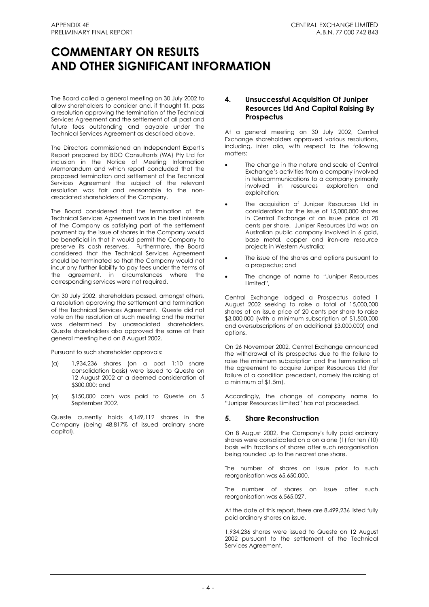The Board called a general meeting on 30 July 2002 to allow shareholders to consider and, if thought fit, pass a resolution approving the termination of the Technical Services Agreement and the settlement of all past and future fees outstanding and payable under the Technical Services Agreement as described above.

The Directors commissioned an Independent Expert's Report prepared by BDO Consultants (WA) Pty Ltd for inclusion in the Notice of Meeting Information Memorandum and which report concluded that the proposed termination and settlement of the Technical Services Agreement the subject of the relevant resolution was fair and reasonable to the nonassociated shareholders of the Company.

The Board considered that the termination of the Technical Services Agreement was in the best interests of the Company as satisfying part of the settlement payment by the issue of shares in the Company would be beneficial in that it would permit the Company to preserve its cash reserves. Furthermore, the Board considered that the Technical Services Agreement should be terminated so that the Company would not incur any further liability to pay fees under the terms of the agreement, in circumstances where the corresponding services were not required.

On 30 July 2002, shareholders passed, amongst others, a resolution approving the settlement and termination of the Technical Services Agreement. Queste did not vote on the resolution at such meeting and the matter was determined by unassociated shareholders. Queste shareholders also approved the same at their general meeting held on 8 August 2002.

Pursuant to such shareholder approvals:

- (a) 1,934,236 shares (on a post 1:10 share consolidation basis) were issued to Queste on 12 August 2002 at a deemed consideration of \$300,000; and
- (a) \$150,000 cash was paid to Queste on 5 September 2002.

Queste currently holds 4,149,112 shares in the Company (being 48.817% of issued ordinary share capital).

## **4. Unsuccessful Acquisition Of Juniper Resources Ltd And Capital Raising By Prospectus**

At a general meeting on 30 July 2002, Central Exchange shareholders approved various resolutions, including, inter alia, with respect to the following matters:

- The change in the nature and scale of Central Exchange's activities from a company involved in telecommunications to a company primarily involved in resources exploration and exploitation:
- The acquisition of Juniper Resources Ltd in consideration for the issue of 15,000,000 shares in Central Exchange at an issue price of 20 cents per share. Juniper Resources Ltd was an Australian public company involved in 6 gold, base metal, copper and iron-ore resource projects in Western Australia;
- The issue of the shares and options pursuant to a prospectus; and
- The change of name to "Juniper Resources Limited",

Central Exchange lodged a Prospectus dated 1 August 2002 seeking to raise a total of 15,000,000 shares at an issue price of 20 cents per share to raise \$3,000,000 (with a minimum subscription of \$1,500,000 and oversubscriptions of an additional \$3,000,000) and options.

On 26 November 2002, Central Exchange announced the withdrawal of its prospectus due to the failure to raise the minimum subscription and the termination of the agreement to acquire Juniper Resources Ltd (for failure of a condition precedent, namely the raising of a minimum of \$1.5m).

Accordingly, the change of company name to "Juniper Resources Limited" has not proceeded.

## **5. Share Reconstruction**

On 8 August 2002, the Company's fully paid ordinary shares were consolidated on a on a one (1) for ten (10) basis with fractions of shares after such reorganisation being rounded up to the nearest one share.

The number of shares on issue prior to such reorganisation was 65,650,000.

The number of shares on issue after such reorganisation was 6,565,027.

At the date of this report, there are 8,499,236 listed fully paid ordinary shares on issue.

1,934,236 shares were issued to Queste on 12 August 2002 pursuant to the settlement of the Technical Services Agreement.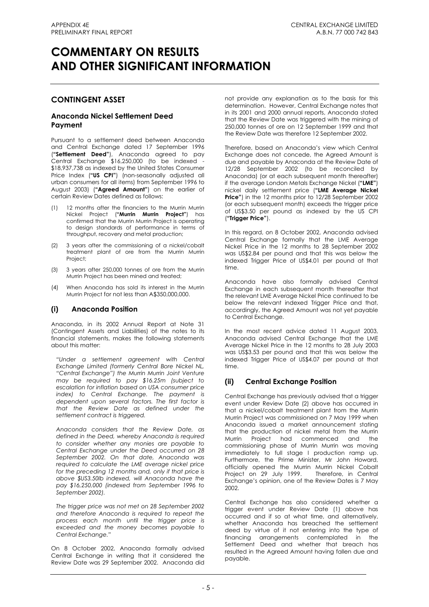## **CONTINGENT ASSET**

## **Anaconda Nickel Settlement Deed Payment**

Pursuant to a settlement deed between Anaconda and Central Exchange dated 17 September 1996 (**"Settlement Deed"**), Anaconda agreed to pay Central Exchange \$16,250,000 (to be indexed - \$18,937,738 as indexed by the United States Consumer Price Index (**"US CPI"**) (non-seasonally adjusted all urban consumers for all items) from September 1996 to August 2003) (**"Agreed Amount"**) on the earlier of certain Review Dates defined as follows:

- (1) 12 months after the financiers to the Murrin Murrin Nickel Project (**"Murrin Murrin Project"**) has confirmed that the Murrin Murrin Project is operating to design standards of performance in terms of throughput, recovery and metal production;
- (2) 3 years after the commissioning of a nickel/cobalt treatment plant of ore from the Murrin Murrin Project;
- (3) 3 years after 250,000 tonnes of ore from the Murrin Murrin Project has been mined and treated;
- (4) When Anaconda has sold its interest in the Murrin Murrin Project for not less than A\$350,000,000.

## **(i) Anaconda Position**

Anaconda, in its 2002 Annual Report at Note 31 (Contingent Assets and Liabilities) of the notes to its financial statements, makes the following statements about this matter:

*"Under a settlement agreement with Central Exchange Limited (formerly Central Bore Nickel NL, "Central Exchange") the Murrin Murrin Joint Venture may be required to pay \$16.25m (subject to escalation for inflation based on USA consumer price index) to Central Exchange. The payment is dependent upon several factors. The first factor is that the Review Date as defined under the settlement contract is triggered.* 

*Anaconda considers that the Review Date, as defined in the Deed, whereby Anaconda is required to consider whether any monies are payable to Central Exchange under the Deed occurred on 28 September 2002. On that date, Anaconda was required to calculate the LME average nickel price for the preceding 12 months and, only if that price is above \$US3.50lb indexed, will Anaconda have the pay \$16,250,000 (indexed from September 1996 to September 2002).* 

*The trigger price was not met on 28 September 2002 and therefore Anaconda is required to repeat the process each month until the trigger price is exceeded and the money becomes payable to Central Exchange."* 

On 8 October 2002, Anaconda formally advised Central Exchange in writing that it considered the Review Date was 29 September 2002. Anaconda did not provide any explanation as to the basis for this determination. However, Central Exchange notes that in its 2001 and 2000 annual reports, Anaconda stated that the Review Date was triggered with the mining of 250,000 tonnes of ore on 12 September 1999 and that the Review Date was therefore 12 September 2002.

Therefore, based on Anaconda's view which Central Exchange does not concede, the Agreed Amount is due and payable by Anaconda at the Review Date of 12/28 September 2002 (to be reconciled by Anaconda) (or at each subsequent month thereafter) if the average London Metals Exchange Nickel (**"LME"**) nickel daily settlement price (**"LME Average Nickel Price"**) in the 12 months prior to 12/28 September 2002 (or each subsequent month) exceeds the trigger price of US\$3.50 per pound as indexed by the US CPI (**"Trigger Price"**).

In this regard, on 8 October 2002, Anaconda advised Central Exchange formally that the LME Average Nickel Price in the 12 months to 28 September 2002 was US\$2.84 per pound and that this was below the indexed Trigger Price of US\$4.01 per pound at that time.

Anaconda have also formally advised Central Exchange in each subsequent month thereafter that the relevant LME Average Nickel Price continued to be below the relevant indexed Trigger Price and that, accordingly, the Agreed Amount was not yet payable to Central Exchange.

In the most recent advice dated 11 August 2003, Anaconda advised Central Exchange that the LME Average Nickel Price in the 12 months to 28 July 2003 was US\$3.53 per pound and that this was below the indexed Trigger Price of US\$4.07 per pound at that time.

## **(ii) Central Exchange Position**

Central Exchange has previously advised that a trigger event under Review Date (2) above has occurred in that a nickel/cobalt treatment plant from the Murrin Murrin Project was commissioned on 7 May 1999 when Anaconda issued a market announcement stating that the production of nickel metal from the Murrin Murrin Project had commenced and the commissioning phase of Murrin Murrin was moving immediately to full stage I production ramp up. Furthermore, the Prime Minister, Mr John Howard, officially opened the Murrin Murrin Nickel Cobalt Project on 29 July 1999. Therefore, in Central Exchange's opinion, one of the Review Dates is 7 May 2002.

Central Exchange has also considered whether a trigger event under Review Date (1) above has occurred and if so at what time, and alternatively, whether Anaconda has breached the settlement deed by virtue of it not entering into the type of financing arrangements contemplated in the Settlement Deed and whether that breach has resulted in the Agreed Amount having fallen due and payable.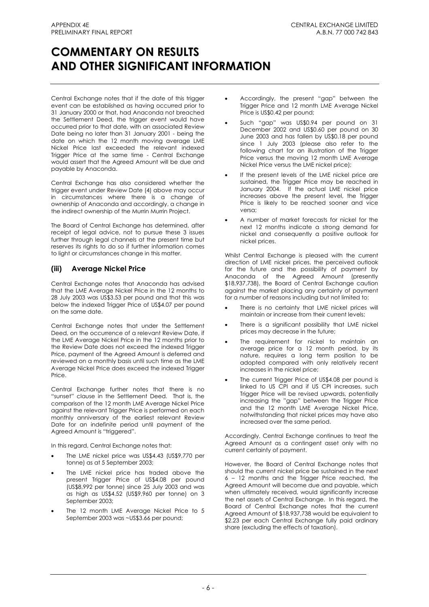Central Exchange notes that if the date of this trigger event can be established as having occurred prior to 31 January 2000 or that, had Anaconda not breached the Settlement Deed, the trigger event would have occurred prior to that date, with an associated Review Date being no later than 31 January 2001 - being the date on which the 12 month moving average LME Nickel Price last exceeded the relevant indexed Trigger Price at the same time - Central Exchange would assert that the Agreed Amount will be due and payable by Anaconda.

Central Exchange has also considered whether the trigger event under Review Date (4) above may occur in circumstances where there is a change of ownership of Anaconda and accordingly, a change in the indirect ownership of the Murrin Murrin Project.

The Board of Central Exchange has determined, after receipt of legal advice, not to pursue these 3 issues further through legal channels at the present time but reserves its rights to do so if further information comes to light or circumstances change in this matter.

## **(iii) Average Nickel Price**

Central Exchange notes that Anaconda has advised that the LME Average Nickel Price in the 12 months to 28 July 2003 was US\$3.53 per pound and that this was below the indexed Trigger Price of US\$4.07 per pound on the same date.

Central Exchange notes that under the Settlement Deed, on the occurrence of a relevant Review Date, if the LME Average Nickel Price in the 12 months prior to the Review Date does not exceed the indexed Trigger Price, payment of the Agreed Amount is deferred and reviewed on a monthly basis until such time as the LME Average Nickel Price does exceed the indexed Trigger Price.

Central Exchange further notes that there is no "sunset" clause in the Settlement Deed. That is, the comparison of the 12 month LME Average Nickel Price against the relevant Trigger Price is performed on each monthly anniversary of the earliest relevant Review Date for an indefinite period until payment of the Agreed Amount is "triggered".

In this regard, Central Exchange notes that:

- The LME nickel price was US\$4.43 (US\$9,770 per tonne) as at 5 September 2003;
- The LME nickel price has traded above the present Trigger Price of US\$4.08 per pound (US\$8,992 per tonne) since 25 July 2003 and was as high as US\$4.52 (US\$9,960 per tonne) on 3 September 2003;
- The 12 month LME Average Nickel Price to 5 September 2003 was ~US\$3.66 per pound;
- Accordingly, the present "gap" between the Trigger Price and 12 month LME Average Nickel Price is US\$0.42 per pound;
- Such "gap" was US\$0.94 per pound on 31 December 2002 and US\$0.60 per pound on 30 June 2003 and has fallen by US\$0.18 per pound since 1 July 2003 (please also refer to the following chart for an illustration of the Trigger Price versus the moving 12 month LME Average Nickel Price versus the LME nickel price);
- If the present levels of the LME nickel price are sustained, the Trigger Price may be reached in January 2004. If the actual LME nickel price increases above the present level, the Trigger Price is likely to be reached sooner and vice versa;
- A number of market forecasts for nickel for the next 12 months indicate a strong demand for nickel and consequently a positive outlook for nickel prices.

Whilst Central Exchange is pleased with the current direction of LME nickel prices, the perceived outlook for the future and the possibility of payment by Anaconda of the Agreed Amount (presently \$18,937,738), the Board of Central Exchange caution against the market placing any certainty of payment for a number of reasons including but not limited to:

- There is no certainty that LME nickel prices will maintain or increase from their current levels;
- There is a significant possibility that LME nickel prices may decrease in the future;
- The requirement for nickel to maintain an average price for a 12 month period, by its nature, requires a long term position to be adopted compared with only relatively recent increases in the nickel price;
- The current Trigger Price of US\$4.08 per pound is linked to US CPI and if US CPI increases, such Trigger Price will be revised upwards, potentially increasing the "gap" between the Trigger Price and the 12 month LME Average Nickel Price, notwithstanding that nickel prices may have also increased over the same period.

Accordingly, Central Exchange continues to treat the Agreed Amount as a contingent asset only with no current certainty of payment.

However, the Board of Central Exchange notes that should the current nickel price be sustained in the next 6 – 12 months and the Trigger Price reached, the Agreed Amount will become due and payable, which when ultimately received, would significantly increase the net assets of Central Exchange. In this regard, the Board of Central Exchange notes that the current Agreed Amount of \$18,937,738 would be equivalent to \$2.23 per each Central Exchange fully paid ordinary share (excluding the effects of taxation).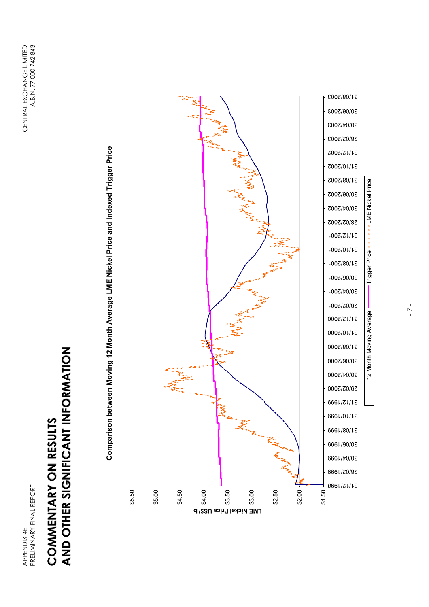# AND OTHER SIGNIFICANT INFORMATION **AND OTHER SIGNIFICANT INFORMATION** COMMENTARY ON RESULTS **COMMENTARY ON RESULTS**



Comparison between Moving 12 Month Average LME Nickel Price and Indexed Trigger Price **Comparison between Moving 12 Month Average LME Nickel Price and Indexed Trigger Price** 

- 7 -

12 Month Moving Average Lingger Price - - - - - - - LME Nickel Price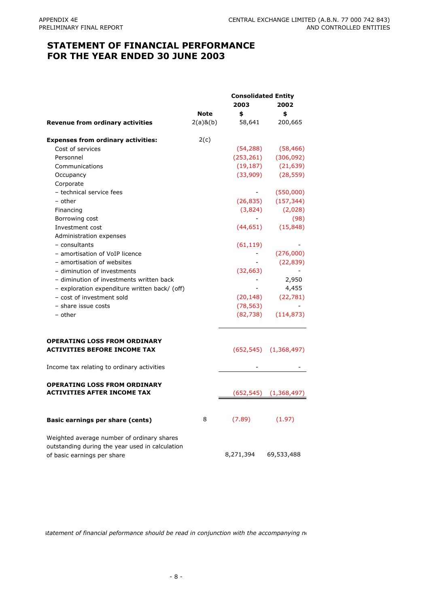## **STATEMENT OF FINANCIAL PERFORMANCE FOR THE YEAR ENDED 30 JUNE 2003**

|                                                 | <b>Consolidated Entity</b> |                          |                              |
|-------------------------------------------------|----------------------------|--------------------------|------------------------------|
|                                                 |                            | 2003                     | 2002                         |
|                                                 | <b>Note</b>                | \$                       | \$                           |
| <b>Revenue from ordinary activities</b>         | $2(a)$ & $(b)$             | 58,641                   | 200,665                      |
| <b>Expenses from ordinary activities:</b>       | 2(c)                       |                          |                              |
| Cost of services                                |                            | (54, 288)                | (58, 466)                    |
| Personnel                                       |                            | (253, 261)               | (306, 092)                   |
| Communications                                  |                            | (19, 187)                | (21, 639)                    |
| Occupancy                                       |                            | (33,909)                 | (28, 559)                    |
| Corporate                                       |                            |                          |                              |
| - technical service fees                        |                            | $\sim 100$               | (550,000)                    |
| – other                                         |                            | (26, 835)                | (157, 344)                   |
| Financing                                       |                            | (3,824)                  | (2,028)                      |
| Borrowing cost                                  |                            |                          | (98)                         |
| Investment cost                                 |                            | (44, 651)                | (15, 848)                    |
| Administration expenses                         |                            |                          |                              |
| - consultants                                   |                            | (61, 119)                |                              |
| - amortisation of VoIP licence                  |                            |                          | (276,000)                    |
| - amortisation of websites                      |                            |                          | (22, 839)                    |
| - diminution of investments                     |                            | (32, 663)                |                              |
| - diminution of investments written back        |                            |                          | 2,950                        |
| - exploration expenditure written back/ (off)   |                            | $\overline{\phantom{0}}$ | 4,455                        |
| - cost of investment sold                       |                            | (20, 148)                | (22, 781)                    |
| - share issue costs                             |                            | (78, 563)                |                              |
| - other                                         |                            | (82, 738)                | (114, 873)                   |
| <b>OPERATING LOSS FROM ORDINARY</b>             |                            |                          |                              |
| <b>ACTIVITIES BEFORE INCOME TAX</b>             |                            |                          | $(652, 545)$ $(1, 368, 497)$ |
| Income tax relating to ordinary activities      |                            |                          |                              |
| <b>OPERATING LOSS FROM ORDINARY</b>             |                            |                          |                              |
| <b>ACTIVITIES AFTER INCOME TAX</b>              |                            | (652,545)                | (1,368,497)                  |
| Basic earnings per share (cents)                | 8                          | (7.89)                   | (1.97)                       |
| Weighted average number of ordinary shares      |                            |                          |                              |
| outstanding during the year used in calculation |                            |                          |                              |
| of basic earnings per share                     |                            | 8,271,394                | 69,533,488                   |

*statement of financial peformance should be read in conjunction with the accompanying no*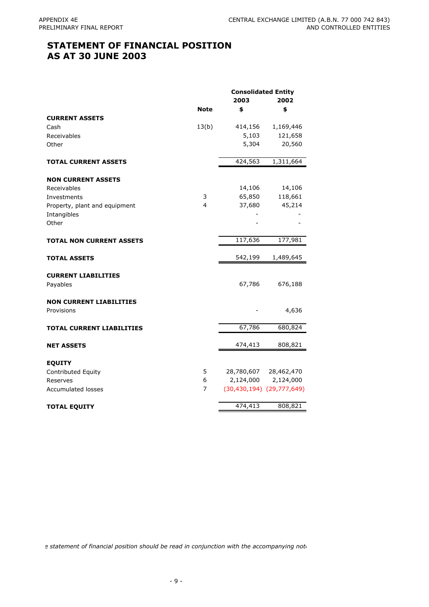## **STATEMENT OF FINANCIAL POSITION AS AT 30 JUNE 2003**

|                                  | <b>Consolidated Entity</b> |            |                                   |  |
|----------------------------------|----------------------------|------------|-----------------------------------|--|
|                                  |                            | 2003       | 2002                              |  |
|                                  | <b>Note</b>                | \$         | \$                                |  |
| <b>CURRENT ASSETS</b>            |                            |            |                                   |  |
| Cash                             | 13(b)                      | 414,156    | 1,169,446                         |  |
| Receivables                      |                            | 5,103      | 121,658                           |  |
| Other                            |                            | 5,304      | 20,560                            |  |
| <b>TOTAL CURRENT ASSETS</b>      |                            | 424,563    | 1,311,664                         |  |
| <b>NON CURRENT ASSETS</b>        |                            |            |                                   |  |
| Receivables                      |                            | 14,106     | 14,106                            |  |
| Investments                      | 3                          | 65,850     | 118,661                           |  |
| Property, plant and equipment    | 4                          | 37,680     | 45,214                            |  |
| Intangibles                      |                            |            |                                   |  |
| Other                            |                            |            |                                   |  |
| <b>TOTAL NON CURRENT ASSETS</b>  |                            | 117,636    | 177,981                           |  |
| <b>TOTAL ASSETS</b>              |                            | 542,199    | 1,489,645                         |  |
|                                  |                            |            |                                   |  |
| <b>CURRENT LIABILITIES</b>       |                            |            |                                   |  |
| Payables                         |                            | 67,786     | 676,188                           |  |
| <b>NON CURRENT LIABILITIES</b>   |                            |            |                                   |  |
| Provisions                       |                            |            | 4,636                             |  |
| <b>TOTAL CURRENT LIABILITIES</b> |                            | 67,786     | 680,824                           |  |
|                                  |                            |            |                                   |  |
| <b>NET ASSETS</b>                |                            | 474,413    | 808,821                           |  |
| <b>EQUITY</b>                    |                            |            |                                   |  |
| Contributed Equity               | 5                          | 28,780,607 | 28,462,470                        |  |
| Reserves                         | 6                          | 2,124,000  | 2,124,000                         |  |
| <b>Accumulated losses</b>        | $\overline{7}$             |            | $(30, 430, 194)$ $(29, 777, 649)$ |  |
| <b>TOTAL EQUITY</b>              |                            | 474,413    | 808,821                           |  |
|                                  |                            |            |                                   |  |

e statement of financial position should be read in conjunction with the accompanying note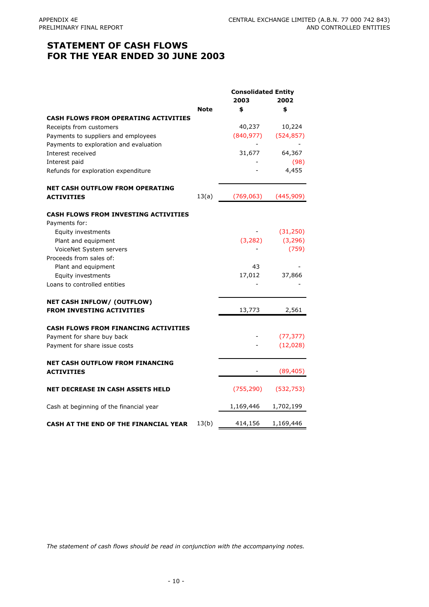## **STATEMENT OF CASH FLOWS FOR THE YEAR ENDED 30 JUNE 2003**

|                                                             | <b>Consolidated Entity</b> |            |            |
|-------------------------------------------------------------|----------------------------|------------|------------|
|                                                             |                            | 2003       | 2002       |
|                                                             | <b>Note</b>                | \$         | \$         |
| <b>CASH FLOWS FROM OPERATING ACTIVITIES</b>                 |                            |            |            |
| Receipts from customers                                     |                            | 40,237     | 10,224     |
| Payments to suppliers and employees                         |                            | (840, 977) | (524, 857) |
| Payments to exploration and evaluation                      |                            |            |            |
| Interest received                                           |                            | 31,677     | 64,367     |
| Interest paid                                               |                            |            | (98)       |
| Refunds for exploration expenditure                         |                            |            | 4,455      |
| <b>NET CASH OUTFLOW FROM OPERATING</b>                      |                            |            |            |
| <b>ACTIVITIES</b>                                           | 13(a)                      | (769, 063) | (445, 909) |
| CASH FLOWS FROM INVESTING ACTIVITIES                        |                            |            |            |
| Payments for:                                               |                            |            |            |
| Equity investments                                          |                            |            | (31,250)   |
| Plant and equipment                                         |                            | (3,282)    | (3, 296)   |
| VoiceNet System servers                                     |                            |            | (759)      |
| Proceeds from sales of:                                     |                            |            |            |
| Plant and equipment                                         |                            | 43         |            |
| Equity investments                                          |                            | 17,012     | 37,866     |
| Loans to controlled entities                                |                            |            |            |
| <b>NET CASH INFLOW/ (OUTFLOW)</b>                           |                            |            |            |
| <b>FROM INVESTING ACTIVITIES</b>                            |                            | 13,773     | 2,561      |
| <b>CASH FLOWS FROM FINANCING ACTIVITIES</b>                 |                            |            |            |
| Payment for share buy back                                  |                            |            | (77, 377)  |
| Payment for share issue costs                               |                            |            | (12,028)   |
| <b>NET CASH OUTFLOW FROM FINANCING</b><br><b>ACTIVITIES</b> |                            |            | (89, 405)  |
| <b>NET DECREASE IN CASH ASSETS HELD</b>                     |                            | (755, 290) | (532, 753) |
| Cash at beginning of the financial year                     |                            | 1,169,446  | 1,702,199  |
| CASH AT THE END OF THE FINANCIAL YEAR                       | 13(b)                      | 414,156    | 1,169,446  |

*The statement of cash flows should be read in conjunction with the accompanying notes.*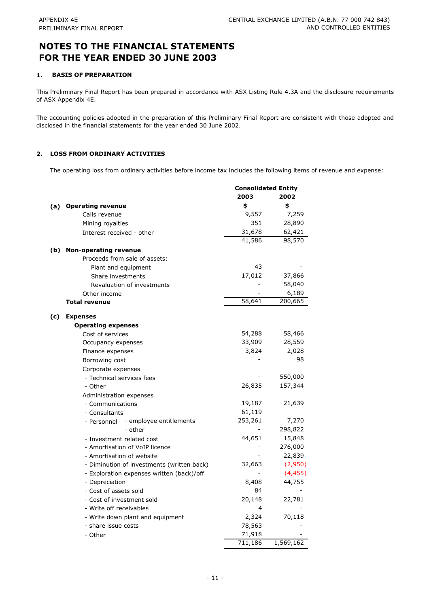#### **1. BASIS OF PREPARATION**

This Preliminary Final Report has been prepared in accordance with ASX Listing Rule 4.3A and the disclosure requirements of ASX Appendix 4E.

The accounting policies adopted in the preparation of this Preliminary Final Report are consistent with those adopted and disclosed in the financial statements for the year ended 30 June 2002.

## **2. LOSS FROM ORDINARY ACTIVITIES**

The operating loss from ordinary activities before income tax includes the following items of revenue and expense:

|     |                                              | <b>Consolidated Entity</b><br>2003 | 2002      |
|-----|----------------------------------------------|------------------------------------|-----------|
| (a) | <b>Operating revenue</b>                     | \$                                 | \$        |
|     | Calls revenue                                | 9,557                              | 7,259     |
|     | Mining royalties                             | 351                                | 28,890    |
|     | Interest received - other                    | 31,678                             | 62,421    |
|     |                                              | 41,586                             | 98,570    |
| (b) | <b>Non-operating revenue</b>                 |                                    |           |
|     | Proceeds from sale of assets:                |                                    |           |
|     | Plant and equipment                          | 43                                 |           |
|     | Share investments                            | 17,012                             | 37,866    |
|     | Revaluation of investments                   |                                    | 58,040    |
|     | Other income                                 |                                    | 6,189     |
|     | <b>Total revenue</b>                         | 58,641                             | 200,665   |
|     |                                              |                                    |           |
| (c) | <b>Expenses</b><br><b>Operating expenses</b> |                                    |           |
|     | Cost of services                             | 54,288                             | 58,466    |
|     | Occupancy expenses                           | 33,909                             | 28,559    |
|     | Finance expenses                             | 3,824                              | 2,028     |
|     | Borrowing cost                               |                                    | 98        |
|     | Corporate expenses                           |                                    |           |
|     | - Technical services fees                    |                                    | 550,000   |
|     | - Other                                      | 26,835                             | 157,344   |
|     | Administration expenses                      |                                    |           |
|     | - Communications                             | 19,187                             | 21,639    |
|     | - Consultants                                | 61,119                             |           |
|     | - employee entitlements<br>- Personnel       | 253,261                            | 7,270     |
|     | - other                                      |                                    | 298,822   |
|     | - Investment related cost                    | 44,651                             | 15,848    |
|     | - Amortisation of VoIP licence               |                                    | 276,000   |
|     | - Amortisation of website                    |                                    | 22,839    |
|     | - Diminution of investments (written back)   | 32,663                             | (2,950)   |
|     | - Exploration expenses written (back)/off    |                                    | (4, 455)  |
|     | - Depreciation                               | 8,408                              | 44,755    |
|     | - Cost of assets sold                        | 84                                 |           |
|     | - Cost of investment sold                    | 20,148                             | 22,781    |
|     | - Write off receivables                      | 4                                  |           |
|     | - Write down plant and equipment             | 2,324                              | 70,118    |
|     | - share issue costs                          | 78,563                             |           |
|     | - Other                                      | 71,918                             |           |
|     |                                              | 711,186                            | 1,569,162 |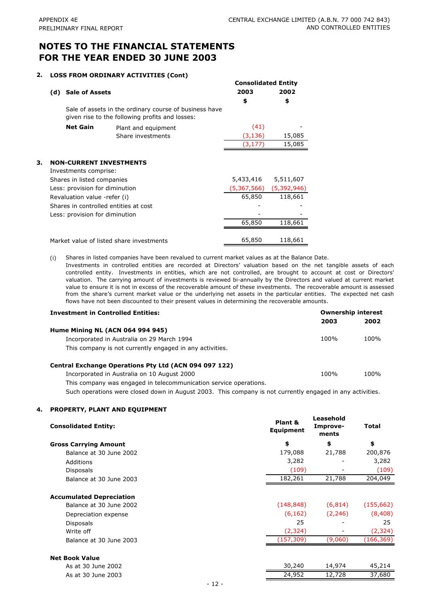## **2. LOSS FROM ORDINARY ACTIVITIES (Cont)**

|    |     |                                |                                                                                                           | <b>Consolidated Entity</b> |             |
|----|-----|--------------------------------|-----------------------------------------------------------------------------------------------------------|----------------------------|-------------|
|    | (d) | <b>Sale of Assets</b>          |                                                                                                           | 2003                       | 2002        |
|    |     |                                |                                                                                                           | \$                         | \$          |
|    |     |                                | Sale of assets in the ordinary course of business have<br>given rise to the following profits and losses: |                            |             |
|    |     | <b>Net Gain</b>                | Plant and equipment                                                                                       | (41)                       |             |
|    |     |                                | Share investments                                                                                         | (3, 136)                   | 15,085      |
|    |     |                                |                                                                                                           | (3,177)                    | 15,085      |
|    |     |                                |                                                                                                           |                            |             |
| з. |     |                                | <b>NON-CURRENT INVESTMENTS</b>                                                                            |                            |             |
|    |     | Investments comprise:          |                                                                                                           |                            |             |
|    |     | Shares in listed companies     |                                                                                                           | 5,433,416                  | 5,511,607   |
|    |     | Less: provision for diminution |                                                                                                           | (5,367,566)                | (5,392,946) |
|    |     | Revaluation value -refer (i)   |                                                                                                           | 65,850                     | 118,661     |
|    |     |                                | Shares in controlled entities at cost                                                                     |                            |             |
|    |     | Less: provision for diminution |                                                                                                           |                            |             |
|    |     |                                |                                                                                                           | 65,850                     | 118,661     |
|    |     |                                |                                                                                                           |                            |             |
|    |     |                                | Market value of listed share investments                                                                  | 65,850                     | 118,661     |

(i) Shares in listed companies have been revalued to current market values as at the Balance Date.

Investments in controlled entities are recorded at Directors' valuation based on the net tangible assets of each controlled entity. Investments in entities, which are not controlled, are brought to account at cost or Directors' valuation. The carrying amount of investments is reviewed bi-annually by the Directors and valued at current market value to ensure it is not in excess of the recoverable amount of these investments. The recoverable amount is assessed from the share's current market value or the underlying net assets in the particular entities. The expected net cash flows have not been discounted to their present values in determining the recoverable amounts.

| <b>Investment in Controlled Entities:</b>                         | <b>Ownership interest</b> |      |  |
|-------------------------------------------------------------------|---------------------------|------|--|
|                                                                   | 2003                      | 2002 |  |
| Hume Mining NL (ACN 064 994 945)                                  |                           |      |  |
| Incorporated in Australia on 29 March 1994                        | 100%                      | 100% |  |
| This company is not currently engaged in any activities.          |                           |      |  |
| Central Exchange Operations Pty Ltd (ACN 094 097 122)             |                           |      |  |
| Incorporated in Australia on 10 August 2000                       | 100%                      | 100% |  |
| This company was engaged in telecommunication service operations. |                           |      |  |

Such operations were closed down in August 2003. This company is not currently engaged in any activities.

## **4. PROPERTY, PLANT AND EQUIPMENT**

| \$<br>\$<br>\$<br><b>Gross Carrying Amount</b><br>21,788<br>179,088<br>200,876<br>Balance at 30 June 2002<br>3,282<br>3,282<br>Additions<br>(109)<br>(109)<br><b>Disposals</b><br>204,049<br>182,261<br>21,788<br>Balance at 30 June 2003<br><b>Accumulated Depreciation</b><br>(148, 848)<br>(155, 662)<br>(6, 814)<br>Balance at 30 June 2002<br>(6, 162)<br>(2, 246)<br>(8, 408)<br>Depreciation expense<br>25<br>25<br><b>Disposals</b><br>(2, 324)<br>Write off<br>(2, 324)<br>(166, 369)<br>(157, 309)<br>(9,060)<br>Balance at 30 June 2003<br><b>Net Book Value</b><br>30,240<br>45,214<br>14,974<br>As at 30 June 2002<br>24,952<br>12,728<br>37,680<br>As at 30 June 2003 | <b>Consolidated Entity:</b> | Plant &<br><b>Equipment</b> | Leasehold<br>Improve-<br>ments | <b>Total</b> |
|-------------------------------------------------------------------------------------------------------------------------------------------------------------------------------------------------------------------------------------------------------------------------------------------------------------------------------------------------------------------------------------------------------------------------------------------------------------------------------------------------------------------------------------------------------------------------------------------------------------------------------------------------------------------------------------|-----------------------------|-----------------------------|--------------------------------|--------------|
|                                                                                                                                                                                                                                                                                                                                                                                                                                                                                                                                                                                                                                                                                     |                             |                             |                                |              |
|                                                                                                                                                                                                                                                                                                                                                                                                                                                                                                                                                                                                                                                                                     |                             |                             |                                |              |
|                                                                                                                                                                                                                                                                                                                                                                                                                                                                                                                                                                                                                                                                                     |                             |                             |                                |              |
|                                                                                                                                                                                                                                                                                                                                                                                                                                                                                                                                                                                                                                                                                     |                             |                             |                                |              |
|                                                                                                                                                                                                                                                                                                                                                                                                                                                                                                                                                                                                                                                                                     |                             |                             |                                |              |
|                                                                                                                                                                                                                                                                                                                                                                                                                                                                                                                                                                                                                                                                                     |                             |                             |                                |              |
|                                                                                                                                                                                                                                                                                                                                                                                                                                                                                                                                                                                                                                                                                     |                             |                             |                                |              |
|                                                                                                                                                                                                                                                                                                                                                                                                                                                                                                                                                                                                                                                                                     |                             |                             |                                |              |
|                                                                                                                                                                                                                                                                                                                                                                                                                                                                                                                                                                                                                                                                                     |                             |                             |                                |              |
|                                                                                                                                                                                                                                                                                                                                                                                                                                                                                                                                                                                                                                                                                     |                             |                             |                                |              |
|                                                                                                                                                                                                                                                                                                                                                                                                                                                                                                                                                                                                                                                                                     |                             |                             |                                |              |
|                                                                                                                                                                                                                                                                                                                                                                                                                                                                                                                                                                                                                                                                                     |                             |                             |                                |              |
|                                                                                                                                                                                                                                                                                                                                                                                                                                                                                                                                                                                                                                                                                     |                             |                             |                                |              |
|                                                                                                                                                                                                                                                                                                                                                                                                                                                                                                                                                                                                                                                                                     |                             |                             |                                |              |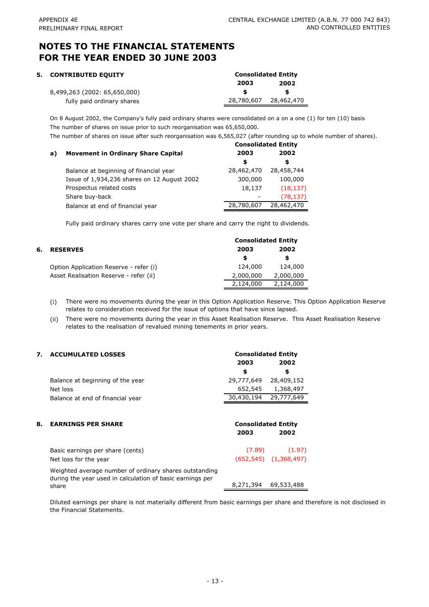| 5. CONTRIBUTED EQUITY        | <b>Consolidated Entity</b> |            |  |
|------------------------------|----------------------------|------------|--|
|                              | 2003                       | 2002       |  |
| 8,499,263 (2002: 65,650,000) |                            |            |  |
| fully paid ordinary shares   | 28,780,607                 | 28,462,470 |  |

On 8 August 2002, the Company's fully paid ordinary shares were consolidated on a on a one (1) for ten (10) basis The number of shares on issue prior to such reorganisation was 65,650,000.

The number of shares on issue after such reorganisation was 6,565,027 (after rounding up to whole number of shares).

|    |                                             |            | <b>Consolidated Entity</b> |
|----|---------------------------------------------|------------|----------------------------|
| a) | <b>Movement in Ordinary Share Capital</b>   | 2003       | 2002                       |
|    |                                             | \$         | \$                         |
|    | Balance at beginning of financial year      | 28,462,470 | 28,458,744                 |
|    | Issue of 1,934,236 shares on 12 August 2002 | 300,000    | 100,000                    |
|    | Prospectus related costs                    | 18,137     | (18, 137)                  |
|    | Share buy-back                              |            | (78, 137)                  |
|    | Balance at end of financial year            | 28,780,607 | 28,462,470                 |

Fully paid ordinary shares carry one vote per share and carry the right to dividends.

|    |                                        |           | <b>Consolidated Entity</b> |  |  |
|----|----------------------------------------|-----------|----------------------------|--|--|
| 6. | <b>RESERVES</b>                        | 2003      | 2002                       |  |  |
|    |                                        | S         | S                          |  |  |
|    | Option Application Reserve - refer (i) | 124,000   | 124,000                    |  |  |
|    | Asset Realisation Reserve - refer (ii) | 2,000,000 | 2,000,000                  |  |  |
|    |                                        | 2,124,000 | 2,124,000                  |  |  |

(i) There were no movements during the year in this Option Application Reserve. This Option Application Reserve relates to consideration received for the issue of options that have since lapsed.

(ii) There were no movements during the year in this Asset Realisation Reserve. This Asset Realisation Reserve relates to the realisation of revalued mining tenements in prior years.

**Consolidated Entity**

## **7. ACCUMULATED LOSSES**

|    |                                                                                                                              | 2003                               | 2002                         |
|----|------------------------------------------------------------------------------------------------------------------------------|------------------------------------|------------------------------|
|    |                                                                                                                              | \$                                 | \$                           |
|    | Balance at beginning of the year                                                                                             | 29,777,649                         | 28,409,152                   |
|    | Net loss                                                                                                                     | 652,545                            | 1,368,497                    |
|    | Balance at end of financial year                                                                                             | 30,430,194                         | 29,777,649                   |
| 8. | <b>EARNINGS PER SHARE</b>                                                                                                    | <b>Consolidated Entity</b><br>2003 | 2002                         |
|    | Basic earnings per share (cents)                                                                                             |                                    | $(7.89)$ $(1.97)$            |
|    | Net loss for the year                                                                                                        |                                    | $(652, 545)$ $(1, 368, 497)$ |
|    | Weighted average number of ordinary shares outstanding<br>during the year used in calculation of basic earnings per<br>share | 8,271,394                          | 69,533,488                   |

Diluted earnings per share is not materially different from basic earnings per share and therefore is not disclosed in the Financial Statements.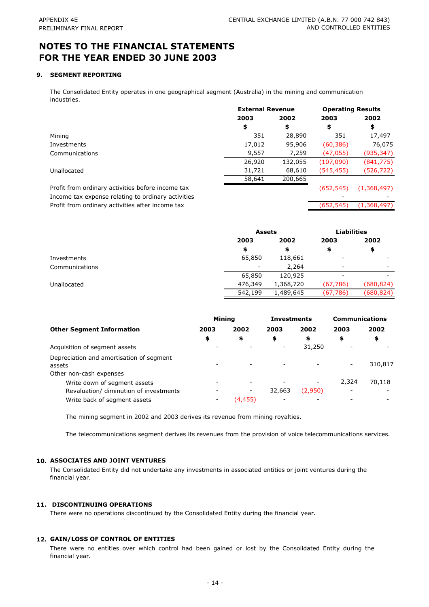#### **9. SEGMENT REPORTING**

The Consolidated Entity operates in one geographical segment (Australia) in the mining and communication industries.

|                                                    | <b>External Revenue</b> |         | <b>Operating Results</b> |             |
|----------------------------------------------------|-------------------------|---------|--------------------------|-------------|
|                                                    | 2003                    | 2002    | 2003                     | 2002        |
|                                                    | \$                      | \$      | \$                       | \$          |
| Mining                                             | 351                     | 28,890  | 351                      | 17,497      |
| Investments                                        | 17,012                  | 95,906  | (60, 386)                | 76,075      |
| Communications                                     | 9,557                   | 7,259   | (47, 055)                | (935,347)   |
|                                                    | 26,920                  | 132,055 | (107,090)                | (841, 775)  |
| Unallocated                                        | 31,721                  | 68,610  | (545, 455)               | (526,722)   |
|                                                    | 58,641                  | 200,665 |                          |             |
| Profit from ordinary activities before income tax  |                         |         | (652, 545)               | (1,368,497) |
| Income tax expense relating to ordinary activities |                         |         |                          |             |
| Profit from ordinary activities after income tax   |                         |         | (652,545)                | (1,368,497) |

|                |                          | <b>Assets</b> |                          | <b>Liabilities</b> |
|----------------|--------------------------|---------------|--------------------------|--------------------|
|                | 2003                     | 2002          | 2003                     | 2002               |
|                | \$                       | э             | \$                       | \$                 |
| Investments    | 65,850                   | 118,661       | $\overline{\phantom{a}}$ |                    |
| Communications | $\overline{\phantom{a}}$ | 2,264         | $\overline{\phantom{0}}$ |                    |
|                | 65,850                   | 120,925       | -                        |                    |
| Unallocated    | 476,349                  | 1,368,720     | (67,786)                 | (680,824)          |
|                | 542,199                  | 1,489,645     | (67, 786)                | (680, 824)         |

|                                          | <b>Mining</b>            |         | <b>Investments</b> |         | <b>Communications</b> |         |
|------------------------------------------|--------------------------|---------|--------------------|---------|-----------------------|---------|
| <b>Other Segment Information</b>         | 2003                     | 2002    | 2003               | 2002    | 2003                  | 2002    |
|                                          | \$                       | \$      | \$                 | \$      | \$                    | \$      |
| Acquisition of segment assets            |                          |         |                    | 31,250  |                       |         |
| Depreciation and amortisation of segment |                          |         |                    |         |                       |         |
| assets                                   |                          |         |                    |         |                       | 310,817 |
| Other non-cash expenses                  |                          |         |                    |         |                       |         |
| Write down of segment assets             |                          |         |                    |         | 2.324                 | 70,118  |
| Revaluation/ diminution of investments   |                          | -       | 32,663             | (2,950) |                       |         |
| Write back of segment assets             | $\overline{\phantom{a}}$ | (4,455) |                    |         |                       |         |

The mining segment in 2002 and 2003 derives its revenue from mining royalties.

The telecommunications segment derives its revenues from the provision of voice telecommunications services.

#### **10. ASSOCIATES AND JOINT VENTURES**

The Consolidated Entity did not undertake any investments in associated entities or joint ventures during the financial year.

#### **11. DISCONTINUING OPERATIONS**

There were no operations discontinued by the Consolidated Entity during the financial year.

#### **12. GAIN/LOSS OF CONTROL OF ENTITIES**

There were no entities over which control had been gained or lost by the Consolidated Entity during the financial year.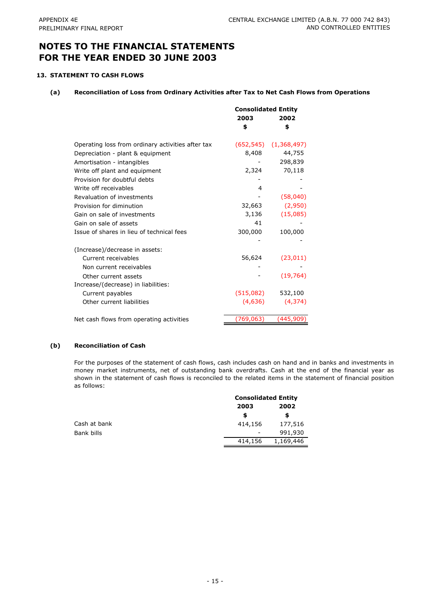## **13. STATEMENT TO CASH FLOWS**

## **(a) Reconciliation of Loss from Ordinary Activities after Tax to Net Cash Flows from Operations**

|                                                   | <b>Consolidated Entity</b><br>2003<br>2002 |                              |
|---------------------------------------------------|--------------------------------------------|------------------------------|
|                                                   | \$                                         | \$                           |
| Operating loss from ordinary activities after tax |                                            | $(652, 545)$ $(1, 368, 497)$ |
| Depreciation - plant & equipment                  | 8,408                                      | 44,755                       |
| Amortisation - intangibles                        |                                            | 298,839                      |
| Write off plant and equipment                     | 2,324                                      | 70,118                       |
| Provision for doubtful debts                      |                                            |                              |
| Write off receivables                             | 4                                          |                              |
| Revaluation of investments                        |                                            | (58,040)                     |
| Provision for diminution                          | 32,663                                     | (2,950)                      |
| Gain on sale of investments                       | 3,136                                      | (15,085)                     |
| Gain on sale of assets                            | 41                                         |                              |
| Issue of shares in lieu of technical fees         | 300,000                                    | 100,000                      |
|                                                   |                                            |                              |
| (Increase)/decrease in assets:                    |                                            |                              |
| Current receivables                               | 56,624                                     | (23, 011)                    |
| Non current receivables                           |                                            |                              |
| Other current assets                              |                                            | (19, 764)                    |
| Increase/(decrease) in liabilities:               |                                            |                              |
| Current payables                                  | (515,082)                                  | 532,100                      |
| Other current liabilities                         | (4,636)                                    | (4, 374)                     |
| Net cash flows from operating activities          | (769, 063)                                 | (445,909)                    |

## **(b) Reconciliation of Cash**

For the purposes of the statement of cash flows, cash includes cash on hand and in banks and investments in money market instruments, net of outstanding bank overdrafts. Cash at the end of the financial year as shown in the statement of cash flows is reconciled to the related items in the statement of financial position as follows:

|              |                          | <b>Consolidated Entity</b> |  |  |
|--------------|--------------------------|----------------------------|--|--|
|              | 2003                     | 2002                       |  |  |
|              | \$                       | S                          |  |  |
| Cash at bank | 414,156                  | 177,516                    |  |  |
| Bank bills   | $\overline{\phantom{a}}$ | 991,930                    |  |  |
|              | 414,156                  | 1,169,446                  |  |  |